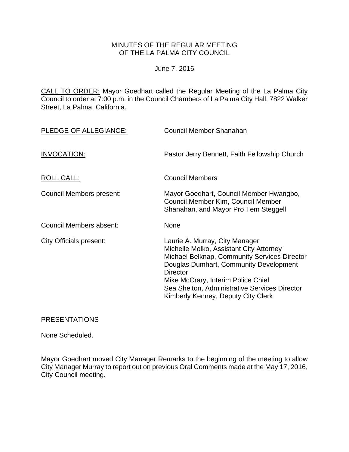# MINUTES OF THE REGULAR MEETING OF THE LA PALMA CITY COUNCIL

#### June 7, 2016

CALL TO ORDER: Mayor Goedhart called the Regular Meeting of the La Palma City Council to order at 7:00 p.m. in the Council Chambers of La Palma City Hall, 7822 Walker Street, La Palma, California.

| PLEDGE OF ALLEGIANCE:          | Council Member Shanahan                                                                                                                                                                                                                                                                                             |
|--------------------------------|---------------------------------------------------------------------------------------------------------------------------------------------------------------------------------------------------------------------------------------------------------------------------------------------------------------------|
| INVOCATION:                    | Pastor Jerry Bennett, Faith Fellowship Church                                                                                                                                                                                                                                                                       |
| ROLL CALL:                     | <b>Council Members</b>                                                                                                                                                                                                                                                                                              |
| Council Members present:       | Mayor Goedhart, Council Member Hwangbo,<br>Council Member Kim, Council Member<br>Shanahan, and Mayor Pro Tem Steggell                                                                                                                                                                                               |
| Council Members absent:        | None                                                                                                                                                                                                                                                                                                                |
| <b>City Officials present:</b> | Laurie A. Murray, City Manager<br>Michelle Molko, Assistant City Attorney<br>Michael Belknap, Community Services Director<br>Douglas Dumhart, Community Development<br><b>Director</b><br>Mike McCrary, Interim Police Chief<br>Sea Shelton, Administrative Services Director<br>Kimberly Kenney, Deputy City Clerk |

#### PRESENTATIONS

None Scheduled.

Mayor Goedhart moved City Manager Remarks to the beginning of the meeting to allow City Manager Murray to report out on previous Oral Comments made at the May 17, 2016, City Council meeting.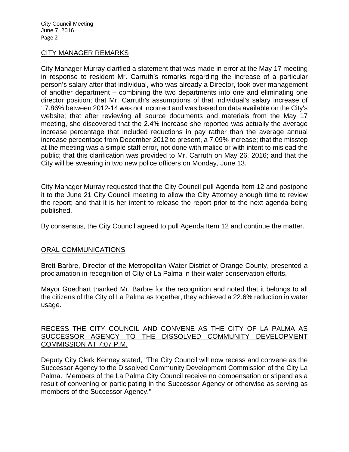### CITY MANAGER REMARKS

City Manager Murray clarified a statement that was made in error at the May 17 meeting in response to resident Mr. Carruth's remarks regarding the increase of a particular person's salary after that individual, who was already a Director, took over management of another department – combining the two departments into one and eliminating one director position; that Mr. Carruth's assumptions of that individual's salary increase of 17.86% between 2012-14 was not incorrect and was based on data available on the City's website; that after reviewing all source documents and materials from the May 17 meeting, she discovered that the 2.4% increase she reported was actually the average increase percentage that included reductions in pay rather than the average annual increase percentage from December 2012 to present, a 7.09% increase; that the misstep at the meeting was a simple staff error, not done with malice or with intent to mislead the public; that this clarification was provided to Mr. Carruth on May 26, 2016; and that the City will be swearing in two new police officers on Monday, June 13.

City Manager Murray requested that the City Council pull Agenda Item 12 and postpone it to the June 21 City Council meeting to allow the City Attorney enough time to review the report; and that it is her intent to release the report prior to the next agenda being published.

By consensus, the City Council agreed to pull Agenda Item 12 and continue the matter.

#### ORAL COMMUNICATIONS

Brett Barbre, Director of the Metropolitan Water District of Orange County, presented a proclamation in recognition of City of La Palma in their water conservation efforts.

Mayor Goedhart thanked Mr. Barbre for the recognition and noted that it belongs to all the citizens of the City of La Palma as together, they achieved a 22.6% reduction in water usage.

### RECESS THE CITY COUNCIL AND CONVENE AS THE CITY OF LA PALMA AS SUCCESSOR AGENCY TO THE DISSOLVED COMMUNITY DEVELOPMENT COMMISSION AT 7:07 P.M.

Deputy City Clerk Kenney stated, "The City Council will now recess and convene as the Successor Agency to the Dissolved Community Development Commission of the City La Palma. Members of the La Palma City Council receive no compensation or stipend as a result of convening or participating in the Successor Agency or otherwise as serving as members of the Successor Agency."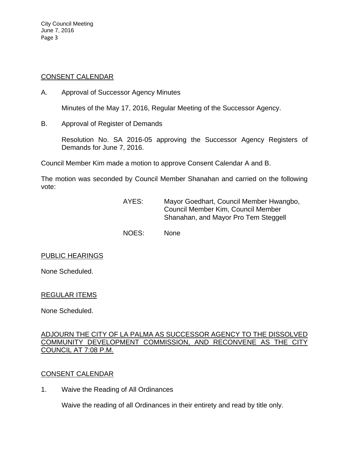# CONSENT CALENDAR

A. Approval of Successor Agency Minutes

Minutes of the May 17, 2016, Regular Meeting of the Successor Agency.

B. Approval of Register of Demands

Resolution No. SA 2016-05 approving the Successor Agency Registers of Demands for June 7, 2016.

Council Member Kim made a motion to approve Consent Calendar A and B.

The motion was seconded by Council Member Shanahan and carried on the following vote:

- AYES: Mayor Goedhart, Council Member Hwangbo, Council Member Kim, Council Member Shanahan, and Mayor Pro Tem Steggell
- NOES: None

# PUBLIC HEARINGS

None Scheduled.

# REGULAR ITEMS

None Scheduled.

# ADJOURN THE CITY OF LA PALMA AS SUCCESSOR AGENCY TO THE DISSOLVED COMMUNITY DEVELOPMENT COMMISSION, AND RECONVENE AS THE CITY COUNCIL AT 7:08 P.M.

# CONSENT CALENDAR

1. Waive the Reading of All Ordinances

Waive the reading of all Ordinances in their entirety and read by title only.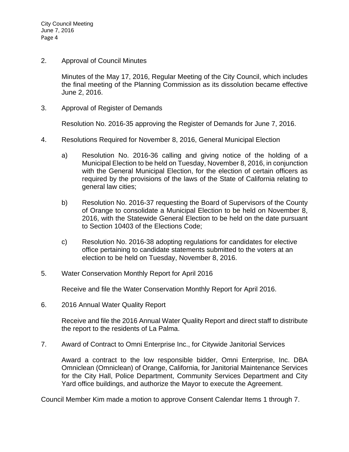2. Approval of Council Minutes

Minutes of the May 17, 2016, Regular Meeting of the City Council, which includes the final meeting of the Planning Commission as its dissolution became effective June 2, 2016.

3. Approval of Register of Demands

Resolution No. 2016-35 approving the Register of Demands for June 7, 2016.

- 4. Resolutions Required for November 8, 2016, General Municipal Election
	- a) Resolution No. 2016-36 calling and giving notice of the holding of a Municipal Election to be held on Tuesday, November 8, 2016, in conjunction with the General Municipal Election, for the election of certain officers as required by the provisions of the laws of the State of California relating to general law cities;
	- b) Resolution No. 2016-37 requesting the Board of Supervisors of the County of Orange to consolidate a Municipal Election to be held on November 8, 2016, with the Statewide General Election to be held on the date pursuant to Section 10403 of the Elections Code;
	- c) Resolution No. 2016-38 adopting regulations for candidates for elective office pertaining to candidate statements submitted to the voters at an election to be held on Tuesday, November 8, 2016.
- 5. Water Conservation Monthly Report for April 2016

Receive and file the Water Conservation Monthly Report for April 2016.

6. 2016 Annual Water Quality Report

Receive and file the 2016 Annual Water Quality Report and direct staff to distribute the report to the residents of La Palma.

7. Award of Contract to Omni Enterprise Inc., for Citywide Janitorial Services

Award a contract to the low responsible bidder, Omni Enterprise, Inc. DBA Omniclean (Omniclean) of Orange, California, for Janitorial Maintenance Services for the City Hall, Police Department, Community Services Department and City Yard office buildings, and authorize the Mayor to execute the Agreement.

Council Member Kim made a motion to approve Consent Calendar Items 1 through 7.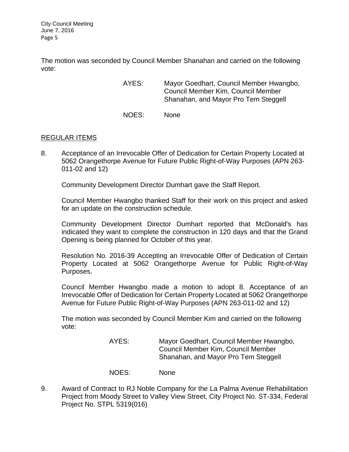The motion was seconded by Council Member Shanahan and carried on the following vote:

- AYES: Mayor Goedhart, Council Member Hwangbo, Council Member Kim, Council Member Shanahan, and Mayor Pro Tem Steggell
- NOES: None

# REGULAR ITEMS

8. Acceptance of an Irrevocable Offer of Dedication for Certain Property Located at 5062 Orangethorpe Avenue for Future Public Right-of-Way Purposes (APN 263- 011-02 and 12)

Community Development Director Dumhart gave the Staff Report.

Council Member Hwangbo thanked Staff for their work on this project and asked for an update on the construction schedule.

Community Development Director Dumhart reported that McDonald's has indicated they want to complete the construction in 120 days and that the Grand Opening is being planned for October of this year.

Resolution No. 2016-39 Accepting an Irrevocable Offer of Dedication of Certain Property Located at 5062 Orangethorpe Avenue for Public Right-of-Way Purposes.

Council Member Hwangbo made a motion to adopt 8. Acceptance of an Irrevocable Offer of Dedication for Certain Property Located at 5062 Orangethorpe Avenue for Future Public Right-of-Way Purposes (APN 263-011-02 and 12)

The motion was seconded by Council Member Kim and carried on the following vote:

> AYES: Mayor Goedhart, Council Member Hwangbo, Council Member Kim, Council Member Shanahan, and Mayor Pro Tem Steggell

- NOES: None
- 9. Award of Contract to RJ Noble Company for the La Palma Avenue Rehabilitation Project from Moody Street to Valley View Street, City Project No. ST-334, Federal Project No. STPL 5319(016)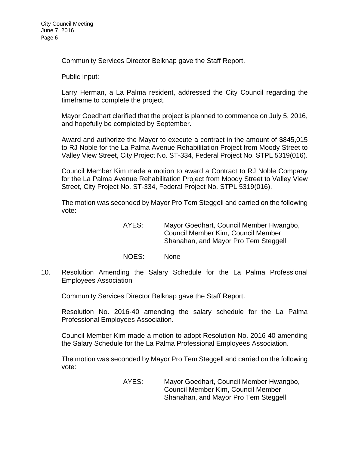Community Services Director Belknap gave the Staff Report.

Public Input:

Larry Herman, a La Palma resident, addressed the City Council regarding the timeframe to complete the project.

Mayor Goedhart clarified that the project is planned to commence on July 5, 2016, and hopefully be completed by September.

Award and authorize the Mayor to execute a contract in the amount of \$845,015 to RJ Noble for the La Palma Avenue Rehabilitation Project from Moody Street to Valley View Street, City Project No. ST-334, Federal Project No. STPL 5319(016).

Council Member Kim made a motion to award a Contract to RJ Noble Company for the La Palma Avenue Rehabilitation Project from Moody Street to Valley View Street, City Project No. ST-334, Federal Project No. STPL 5319(016).

The motion was seconded by Mayor Pro Tem Steggell and carried on the following vote:

> AYES: Mayor Goedhart, Council Member Hwangbo, Council Member Kim, Council Member Shanahan, and Mayor Pro Tem Steggell

- NOES: None
- 10. Resolution Amending the Salary Schedule for the La Palma Professional Employees Association

Community Services Director Belknap gave the Staff Report.

Resolution No. 2016-40 amending the salary schedule for the La Palma Professional Employees Association.

Council Member Kim made a motion to adopt Resolution No. 2016-40 amending the Salary Schedule for the La Palma Professional Employees Association.

The motion was seconded by Mayor Pro Tem Steggell and carried on the following vote:

> AYES: Mayor Goedhart, Council Member Hwangbo, Council Member Kim, Council Member Shanahan, and Mayor Pro Tem Steggell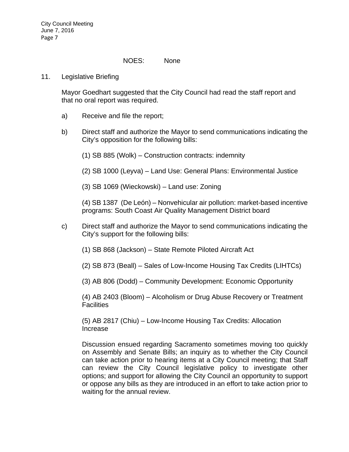#### NOES: None

11. Legislative Briefing

Mayor Goedhart suggested that the City Council had read the staff report and that no oral report was required.

- a) Receive and file the report;
- b) Direct staff and authorize the Mayor to send communications indicating the City's opposition for the following bills:
	- (1) SB 885 (Wolk) Construction contracts: indemnity
	- (2) SB 1000 (Leyva) Land Use: General Plans: Environmental Justice
	- (3) SB 1069 (Wieckowski) Land use: Zoning

(4) SB 1387 (De León) – Nonvehicular air pollution: market-based incentive programs: South Coast Air Quality Management District board

- c) Direct staff and authorize the Mayor to send communications indicating the City's support for the following bills:
	- (1) SB 868 (Jackson) State Remote Piloted Aircraft Act
	- (2) SB 873 (Beall) Sales of Low-Income Housing Tax Credits (LIHTCs)
	- (3) AB 806 (Dodd) Community Development: Economic Opportunity

(4) AB 2403 (Bloom) – Alcoholism or Drug Abuse Recovery or Treatment **Facilities** 

(5) AB 2817 (Chiu) – Low-Income Housing Tax Credits: Allocation Increase

Discussion ensued regarding Sacramento sometimes moving too quickly on Assembly and Senate Bills; an inquiry as to whether the City Council can take action prior to hearing items at a City Council meeting; that Staff can review the City Council legislative policy to investigate other options; and support for allowing the City Council an opportunity to support or oppose any bills as they are introduced in an effort to take action prior to waiting for the annual review.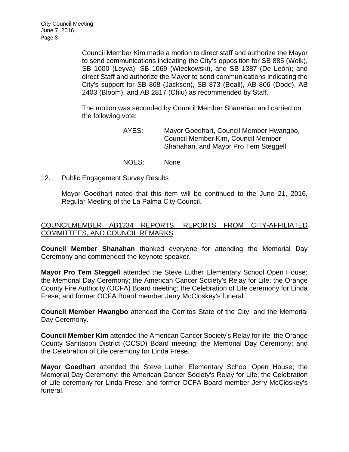Council Member Kim made a motion to direct staff and authorize the Mayor to send communications indicating the City's opposition for SB 885 (Wolk), SB 1000 (Leyva), SB 1069 (Wieckowski), and SB 1387 (De León); and direct Staff and authorize the Mayor to send communications indicating the City's support for SB 868 (Jackson), SB 873 (Beall), AB 806 (Dodd), AB 2403 (Bloom), and AB 2817 (Chiu) as recommended by Staff.

The motion was seconded by Council Member Shanahan and carried on the following vote:

- AYES: Mayor Goedhart, Council Member Hwangbo, Council Member Kim, Council Member Shanahan, and Mayor Pro Tem Steggell
- NOES: None
- 12. Public Engagement Survey Results

Mayor Goedhart noted that this item will be continued to the June 21, 2016, Regular Meeting of the La Palma City Council.

# COUNCILMEMBER AB1234 REPORTS, REPORTS FROM CITY-AFFILIATED COMMITTEES, AND COUNCIL REMARKS

**Council Member Shanahan** thanked everyone for attending the Memorial Day Ceremony and commended the keynote speaker.

**Mayor Pro Tem Steggell** attended the Steve Luther Elementary School Open House; the Memorial Day Ceremony; the American Cancer Society's Relay for Life; the Orange County Fire Authority (OCFA) Board meeting; the Celebration of Life ceremony for Linda Frese; and former OCFA Board member Jerry McCloskey's funeral.

**Council Member Hwangbo** attended the Cerritos State of the City; and the Memorial Day Ceremony.

**Council Member Kim** attended the American Cancer Society's Relay for life; the Orange County Sanitation District (OCSD) Board meeting; the Memorial Day Ceremony; and the Celebration of Life ceremony for Linda Frese.

**Mayor Goedhart** attended the Steve Luther Elementary School Open House; the Memorial Day Ceremony; the American Cancer Society's Relay for Life; the Celebration of Life ceremony for Linda Frese; and former OCFA Board member Jerry McCloskey's funeral.